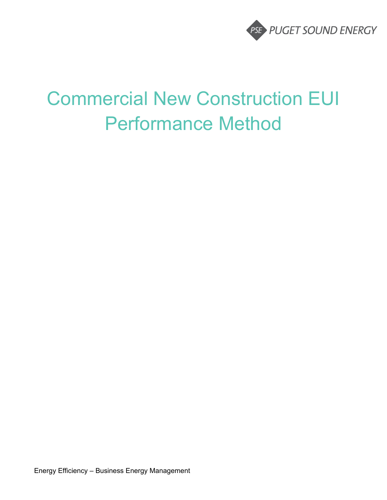

# Commercial New Construction EUI Performance Method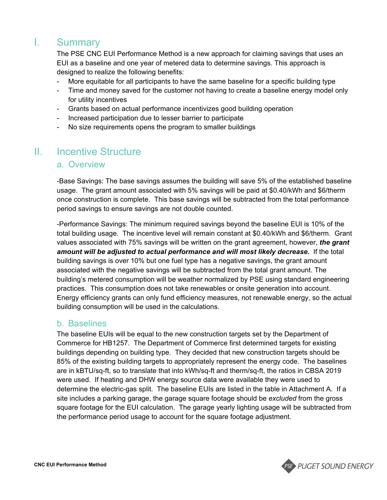## I. Summary

The PSE CNC EUI Performance Method is a new approach for claiming savings that uses an EUI as a baseline and one year of metered data to determine savings. This approach is designed to realize the following benefits:

- More equitable for all participants to have the same baseline for a specific building type
- Time and money saved for the customer not having to create a baseline energy model only for utility incentives
- Grants based on actual performance incentivizes good building operation
- Increased participation due to lesser barrier to participate
- No size requirements opens the program to smaller buildings

## II. Incentive Structure

#### a. Overview

-Base Savings: The base savings assumes the building will save 5% of the established baseline usage. The grant amount associated with 5% savings will be paid at \$0.40/kWh and \$6/therm once construction is complete. This base savings will be subtracted from the total performance period savings to ensure savings are not double counted.

-Performance Savings: The minimum required savings beyond the baseline EUI is 10% of the total building usage. The incentive level will remain constant at \$0.40/kWh and \$6/therm. Grant values associated with 75% savings will be written on the grant agreement, however, *the grant amount will be adjusted to actual performance and will most likely decrease.* If the total building savings is over 10% but one fuel type has a negative savings, the grant amount associated with the negative savings will be subtracted from the total grant amount. The building's metered consumption will be weather normalized by PSE using standard engineering practices. This consumption does not take renewables or onsite generation into account. Energy efficiency grants can only fund efficiency measures, not renewable energy, so the actual building consumption will be used in the calculations.

#### b. Baselines

The baseline EUIs will be equal to the new construction targets set by the Department of Commerce for HB1257. The Department of Commerce first determined targets for existing buildings depending on building type. They decided that new construction targets should be 85% of the existing building targets to appropriately represent the energy code. The baselines are in kBTU/sq-ft, so to translate that into kWh/sq-ft and therm/sq-ft, the ratios in CBSA 2019 were used. If heating and DHW energy source data were available they were used to determine the electric-gas split. The baseline EUIs are listed in the table in Attachment A. If a site includes a parking garage, the garage square footage should be *excluded* from the gross square footage for the EUI calculation. The garage yearly lighting usage will be subtracted from the performance period usage to account for the square footage adjustment.

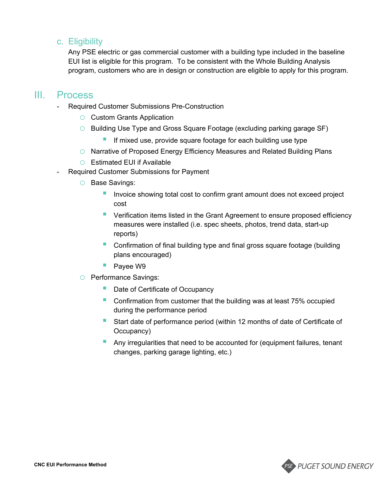#### c. Eligibility

Any PSE electric or gas commercial customer with a building type included in the baseline EUI list is eligible for this program. To be consistent with the Whole Building Analysis program, customers who are in design or construction are eligible to apply for this program.

### III. Process

- Required Customer Submissions Pre-Construction
	- o Custom Grants Application
	- o Building Use Type and Gross Square Footage (excluding parking garage SF)
		- If mixed use, provide square footage for each building use type
	- o Narrative of Proposed Energy Efficiency Measures and Related Building Plans
	- o Estimated EUI if Available
- Required Customer Submissions for Payment
	- o Base Savings:
		- Invoice showing total cost to confirm grant amount does not exceed project cost
		- **U** Verification items listed in the Grant Agreement to ensure proposed efficiency measures were installed (i.e. spec sheets, photos, trend data, start-up reports)
		- Confirmation of final building type and final gross square footage (building plans encouraged)
		- **Payee W9**
	- o Performance Savings:
		- Date of Certificate of Occupancy
		- Confirmation from customer that the building was at least 75% occupied during the performance period
		- Start date of performance period (within 12 months of date of Certificate of Occupancy)
		- **Any irregularities that need to be accounted for (equipment failures, tenant** changes, parking garage lighting, etc.)

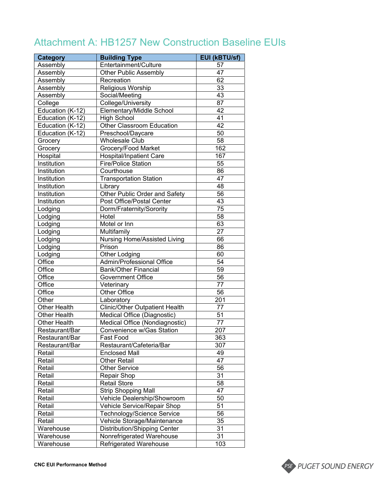# Attachment A: HB1257 New Construction Baseline EUIs

| Category            | <b>Building Type</b>                  | EUI (kBTU/sf)   |
|---------------------|---------------------------------------|-----------------|
| Assembly            | Entertainment/Culture                 | 57              |
| Assembly            | <b>Other Public Assembly</b>          | $\overline{47}$ |
| Assembly            | Recreation                            | 62              |
| Assembly            | Religious Worship                     | 33              |
| Assembly            | Social/Meeting                        | 43              |
| College             | College/University                    | $\overline{87}$ |
| Education (K-12)    | Elementary/Middle School              | $\overline{42}$ |
| Education (K-12)    | <b>High School</b>                    | $\overline{41}$ |
| Education (K-12)    | <b>Other Classroom Education</b>      | $\overline{42}$ |
| Education (K-12)    | Preschool/Daycare                     | $\overline{50}$ |
| Grocery             | <b>Wholesale Club</b>                 | $\overline{58}$ |
| Grocery             | Grocery/Food Market                   | 162             |
| Hospital            | Hospital/Inpatient Care               | 167             |
| Institution         | <b>Fire/Police Station</b>            | 55              |
| Institution         | Courthouse                            | 86              |
| Institution         | <b>Transportation Station</b>         | 47              |
| Institution         | Library                               | 48              |
| Institution         | Other Public Order and Safety         | $\overline{56}$ |
| Institution         | Post Office/Postal Center             | 43              |
| Lodging             | Dorm/Fraternity/Sorority              | $\overline{75}$ |
| Lodging             | Hotel                                 | $\overline{58}$ |
| Lodging             | Motel or Inn                          | 63              |
| Lodging             | Multifamily                           | $\overline{27}$ |
| Lodging             | <b>Nursing Home/Assisted Living</b>   | 66              |
| Lodging             | Prison                                | 86              |
| Lodging             | Other Lodging                         | 60              |
| Office              | <b>Admin/Professional Office</b>      | $\overline{54}$ |
| Office              | <b>Bank/Other Financial</b>           | $\overline{59}$ |
| Office              | Government Office                     | $\overline{56}$ |
| Office              | Veterinary                            | 77              |
| Office              | Other Office                          | $\overline{56}$ |
| Other               | Laboratory                            | 201             |
| <b>Other Health</b> | <b>Clinic/Other Outpatient Health</b> | 77              |
| <b>Other Health</b> | Medical Office (Diagnostic)           | $\overline{51}$ |
| <b>Other Health</b> | Medical Office (Nondiagnostic)        | $\overline{77}$ |
| Restaurant/Bar      | Convenience w/Gas Station             | 207             |
| Restaurant/Bar      | Fast Food                             | 363             |
| Restaurant/Bar      | Restaurant/Cafeteria/Bar              | 307             |
| Retail              | <b>Enclosed Mall</b>                  | 49              |
| Retail              | <b>Other Retail</b>                   | 47              |
| Retail              | <b>Other Service</b>                  | 56              |
| Retail              | Repair Shop                           | $\overline{31}$ |
| Retail              | <b>Retail Store</b>                   | 58              |
| Retail              | <b>Strip Shopping Mall</b>            | 47              |
| Retail              | Vehicle Dealership/Showroom           | 50              |
| Retail              | Vehicle Service/Repair Shop           | $\overline{51}$ |
| Retail              | Technology/Science Service            | 56              |
| Retail              | Vehicle Storage/Maintenance           | 35              |
| Warehouse           | <b>Distribution/Shipping Center</b>   | 31              |
| Warehouse           | Nonrefrigerated Warehouse             | $\overline{31}$ |
| Warehouse           | Refrigerated Warehouse                | 103             |